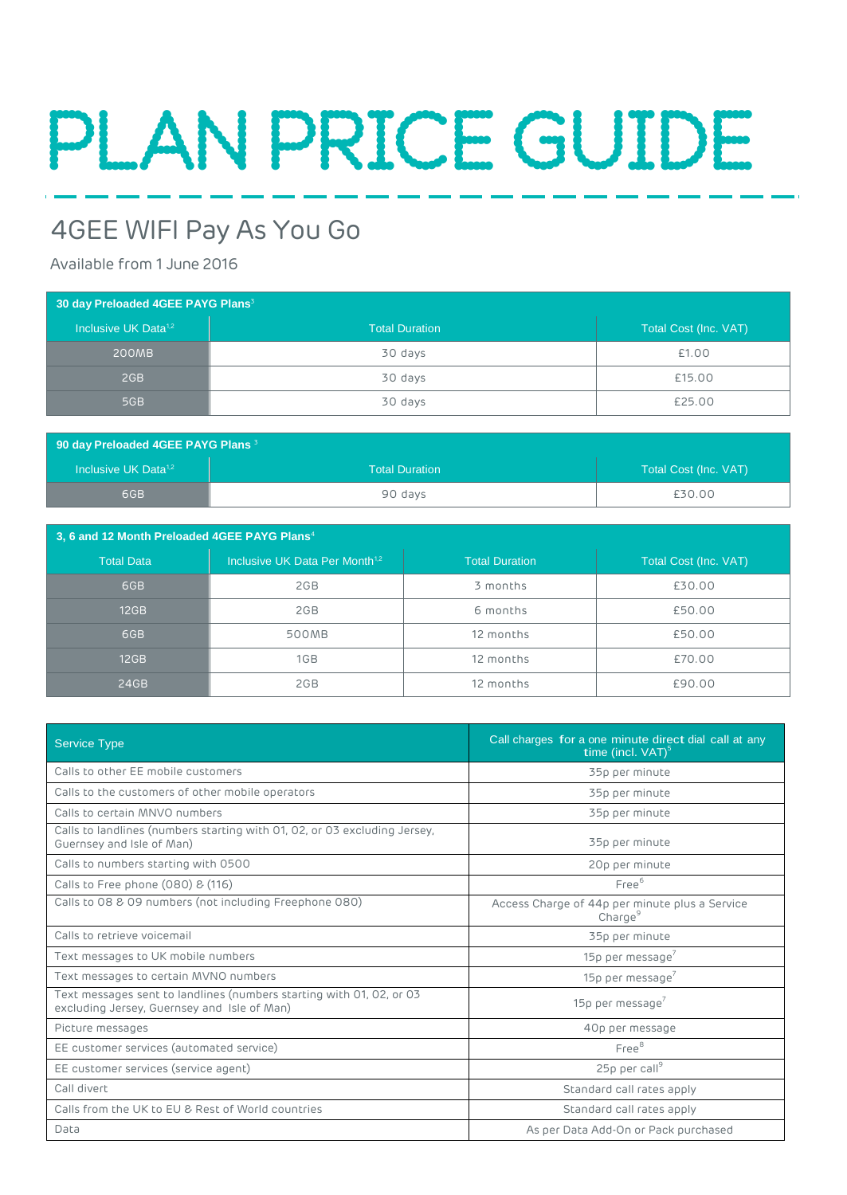# PLANPRICEGUIDE

# 4GEE WIFI Pay As You Go

# Available from 1 June 2016

| 30 day Preloaded 4GEE PAYG Plans <sup>3</sup> |                       |                       |  |  |
|-----------------------------------------------|-----------------------|-----------------------|--|--|
| Inclusive UK Data <sup>1,2</sup>              | <b>Total Duration</b> | Total Cost (Inc. VAT) |  |  |
| 200MB                                         | 30 days               | £1.00                 |  |  |
| 2GB                                           | 30 days               | £15.00                |  |  |
| 5GB                                           | 30 days               | £25.00                |  |  |

| 90 day Preloaded 4GEE PAYG Plans <sup>3</sup> |                       |                       |  |  |
|-----------------------------------------------|-----------------------|-----------------------|--|--|
| Inclusive UK Data <sup>1,2</sup>              | <b>Total Duration</b> | Total Cost (Inc. VAT) |  |  |
| 6GB                                           | 90 days               | £30.00                |  |  |

| 3, 6 and 12 Month Preloaded 4GEE PAYG Plans <sup>4</sup> |                                            |                       |                       |  |
|----------------------------------------------------------|--------------------------------------------|-----------------------|-----------------------|--|
| <b>Total Data</b>                                        | Inclusive UK Data Per Month <sup>1,2</sup> | <b>Total Duration</b> | Total Cost (Inc. VAT) |  |
| 6GB                                                      | 2GB                                        | 3 months              | £30.00                |  |
| 12GB                                                     | 2GB                                        | 6 months              | £50.00                |  |
| 6GB                                                      | 500MB                                      | 12 months             | £50.00                |  |
| 12GB                                                     | 1GB                                        | 12 months             | £70.00                |  |
| 24GB                                                     | 2GB                                        | 12 months             | £90.00                |  |

| <b>Service Type</b>                                                                                                 | Call charges for a one minute direct dial call at any<br>time (incl. $VAT$ ) <sup>5</sup> |  |
|---------------------------------------------------------------------------------------------------------------------|-------------------------------------------------------------------------------------------|--|
| Calls to other EE mobile customers                                                                                  | 35p per minute                                                                            |  |
| Calls to the customers of other mobile operators                                                                    | 35p per minute                                                                            |  |
| Calls to certain MNVO numbers                                                                                       | 35p per minute                                                                            |  |
| Calls to landlines (numbers starting with 01, 02, or 03 excluding Jersey,<br>Guernsey and Isle of Man)              | 35p per minute                                                                            |  |
| Calls to numbers starting with 0500                                                                                 | 20p per minute                                                                            |  |
| Calls to Free phone (080) & (116)                                                                                   | Free <sup>6</sup>                                                                         |  |
| Calls to 08 & 09 numbers (not including Freephone 080)                                                              | Access Charge of 44p per minute plus a Service<br>Change <sup>9</sup>                     |  |
| Calls to retrieve voicemail                                                                                         | 35p per minute                                                                            |  |
| Text messages to UK mobile numbers                                                                                  | 15p per message                                                                           |  |
| Text messages to certain MVNO numbers                                                                               | 15p per message                                                                           |  |
| Text messages sent to landlines (numbers starting with 01, 02, or 03<br>excluding Jersey, Guernsey and Isle of Man) | 15p per message                                                                           |  |
| Picture messages                                                                                                    | 40p per message                                                                           |  |
| EE customer services (automated service)                                                                            | Free <sup>8</sup>                                                                         |  |
| EE customer services (service agent)                                                                                | $25p$ per call <sup>9</sup>                                                               |  |
| Call divert                                                                                                         | Standard call rates apply                                                                 |  |
| Calls from the UK to EU & Rest of World countries                                                                   | Standard call rates apply                                                                 |  |
| Data                                                                                                                | As per Data Add-On or Pack purchased                                                      |  |